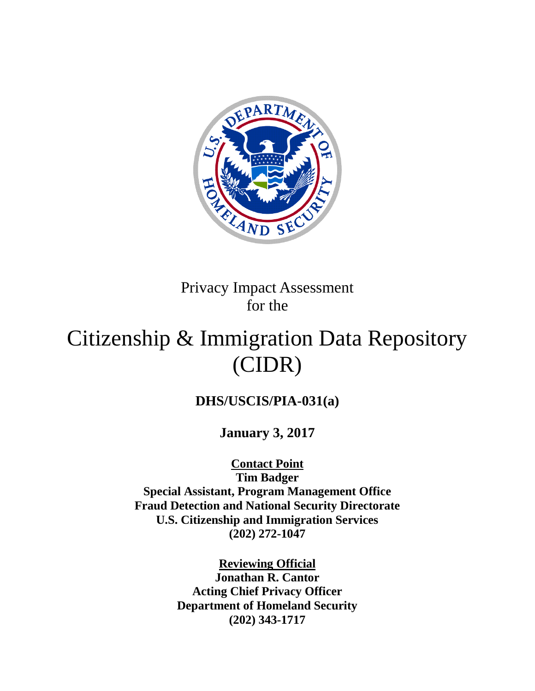

Privacy Impact Assessment for the

# Citizenship & Immigration Data Repository (CIDR)

# **DHS/USCIS/PIA-031(a)**

**January 3, 2017**

**Contact Point**

**Tim Badger Special Assistant, Program Management Office Fraud Detection and National Security Directorate U.S. Citizenship and Immigration Services (202) 272-1047**

> **Reviewing Official Jonathan R. Cantor Acting Chief Privacy Officer Department of Homeland Security (202) 343-1717**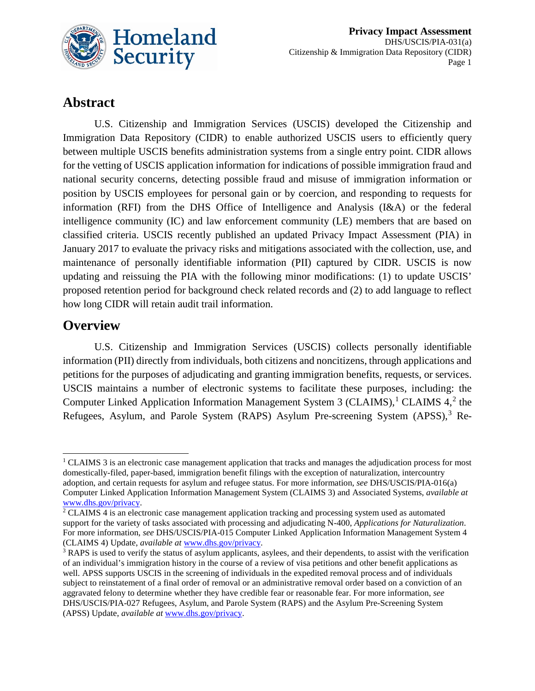

# **Abstract**

U.S. Citizenship and Immigration Services (USCIS) developed the Citizenship and Immigration Data Repository (CIDR) to enable authorized USCIS users to efficiently query between multiple USCIS benefits administration systems from a single entry point. CIDR allows for the vetting of USCIS application information for indications of possible immigration fraud and national security concerns, detecting possible fraud and misuse of immigration information or position by USCIS employees for personal gain or by coercion, and responding to requests for information (RFI) from the DHS Office of Intelligence and Analysis (I&A) or the federal intelligence community (IC) and law enforcement community (LE) members that are based on classified criteria. USCIS recently published an updated Privacy Impact Assessment (PIA) in January 2017 to evaluate the privacy risks and mitigations associated with the collection, use, and maintenance of personally identifiable information (PII) captured by CIDR. USCIS is now updating and reissuing the PIA with the following minor modifications: (1) to update USCIS' proposed retention period for background check related records and (2) to add language to reflect how long CIDR will retain audit trail information.

# **Overview**

U.S. Citizenship and Immigration Services (USCIS) collects personally identifiable information (PII) directly from individuals, both citizens and noncitizens, through applications and petitions for the purposes of adjudicating and granting immigration benefits, requests, or services. USCIS maintains a number of electronic systems to facilitate these purposes, including: the Computer Linked Application Information Management System 3 (CLAIMS),<sup>[1](#page-1-0)</sup> CLAIMS 4,<sup>[2](#page-1-1)</sup> the Refugees, Asylum, and Parole System (RAPS) Asylum Pre-screening System (APSS),<sup>[3](#page-1-2)</sup> Re-

<span id="page-1-0"></span> $1$  CLAIMS 3 is an electronic case management application that tracks and manages the adjudication process for most domestically-filed, paper-based, immigration benefit filings with the exception of naturalization, intercountry adoption, and certain requests for asylum and refugee status. For more information, *see* DHS/USCIS/PIA-016(a) Computer Linked Application Information Management System (CLAIMS 3) and Associated Systems, *available at* [www.dhs.gov/privacy.](http://www.dhs.gov/privacy)

<span id="page-1-1"></span><sup>&</sup>lt;sup>2</sup> CLAIMS 4 is an electronic case management application tracking and processing system used as automated support for the variety of tasks associated with processing and adjudicating N-400, *Applications for Naturalization*. For more information, *see* DHS/USCIS/PIA-015 [Computer Linked Application Information Management System 4](https://www.dhs.gov/publication/dhsuscispia-015b-computer-linked-application-information-management-system-4-claims-4)  [\(CLAIMS 4\) Update,](https://www.dhs.gov/publication/dhsuscispia-015b-computer-linked-application-information-management-system-4-claims-4) *available at* [www.dhs.gov/privacy.](http://www.dhs.gov/privacy)

<span id="page-1-2"></span><sup>&</sup>lt;sup>3</sup> RAPS is used to verify the status of asylum applicants, asylees, and their dependents, to assist with the verification of an individual's immigration history in the course of a review of visa petitions and other benefit applications as well. APSS supports USCIS in the screening of individuals in the expedited removal process and of individuals subject to reinstatement of a final order of removal or an administrative removal order based on a conviction of an aggravated felony to determine whether they have credible fear or reasonable fear. For more information, *see* DHS/USCIS/PIA-027 Refugees, Asylum, and Parole System (RAPS) and the Asylum Pre-Screening System (APSS) Update, *available at* [www.dhs.gov/privacy.](http://www.dhs.gov/privacy)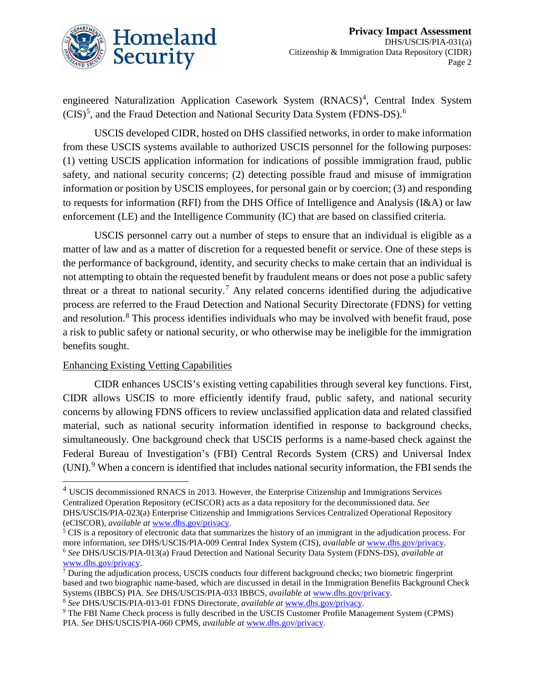

engineered Naturalization Application Casework System (RNACS)<sup>[4](#page-2-0)</sup>, Central Index System  $(CIS)^5$  $(CIS)^5$ , and the Fraud Detection and National Security Data System (FDNS-DS).<sup>[6](#page-2-2)</sup>

USCIS developed CIDR, hosted on DHS classified networks, in order to make information from these USCIS systems available to authorized USCIS personnel for the following purposes: (1) vetting USCIS application information for indications of possible immigration fraud, public safety, and national security concerns; (2) detecting possible fraud and misuse of immigration information or position by USCIS employees, for personal gain or by coercion; (3) and responding to requests for information (RFI) from the DHS Office of Intelligence and Analysis (I&A) or law enforcement (LE) and the Intelligence Community (IC) that are based on classified criteria.

USCIS personnel carry out a number of steps to ensure that an individual is eligible as a matter of law and as a matter of discretion for a requested benefit or service. One of these steps is the performance of background, identity, and security checks to make certain that an individual is not attempting to obtain the requested benefit by fraudulent means or does not pose a public safety threat or a threat to national security.<sup>[7](#page-2-3)</sup> Any related concerns identified during the adjudicative process are referred to the Fraud Detection and National Security Directorate (FDNS) for vetting and resolution. [8](#page-2-4) This process identifies individuals who may be involved with benefit fraud, pose a risk to public safety or national security, or who otherwise may be ineligible for the immigration benefits sought.

#### Enhancing Existing Vetting Capabilities

CIDR enhances USCIS's existing vetting capabilities through several key functions. First, CIDR allows USCIS to more efficiently identify fraud, public safety, and national security concerns by allowing FDNS officers to review unclassified application data and related classified material, such as national security information identified in response to background checks, simultaneously. One background check that USCIS performs is a name-based check against the Federal Bureau of Investigation's (FBI) Central Records System (CRS) and Universal Index  $(UNI).<sup>9</sup>$  $(UNI).<sup>9</sup>$  $(UNI).<sup>9</sup>$  When a concern is identified that includes national security information, the FBI sends the

<span id="page-2-0"></span> <sup>4</sup> USCIS decommissioned RNACS in 2013. However, the Enterprise Citizenship and Immigrations Services Centralized Operation Repository (eCISCOR) acts as a data repository for the decommissioned data. *See* DHS/USCIS/PIA-023(a) Enterprise Citizenship and Immigrations Services Centralized Operational Repository (eCISCOR), *available at* [www.dhs.gov/privacy.](http://www.dhs.gov/privacy)

<span id="page-2-1"></span><sup>&</sup>lt;sup>5</sup> CIS is a repository of electronic data that summarizes the history of an immigrant in the adjudication process. For more information, *see* DHS/USCIS/PIA-009 Central Index System (CIS), *available at* [www.dhs.gov/privacy.](http://www.dhs.gov/privacy) <sup>6</sup> *See* DHS/USCIS/PIA-013(a) Fraud Detection and National Security Data System (FDNS-DS), *available at* [www.dhs.gov/privacy.](http://www.dhs.gov/privacy)

<span id="page-2-3"></span><span id="page-2-2"></span> $<sup>7</sup>$  During the adjudication process, USCIS conducts four different background checks; two biometric fingerprint</sup> based and two biographic name-based, which are discussed in detail in the Immigration Benefits Background Check Systems (IBBCS) PIA. *See* DHS/USCIS/PIA-033 IBBCS, *available at* [www.dhs.gov/privacy.](http://www.dhs.gov/privacy)

<span id="page-2-4"></span><sup>8</sup> *See* DHS/USCIS/PIA-013-01 FDNS Directorate, *available at* [www.dhs.gov/privacy.](http://www.dhs.gov/privacy)

<span id="page-2-5"></span><sup>9</sup> The FBI Name Check process is fully described in the USCIS Customer Profile Management System (CPMS) PIA. *See* DHS/USCIS/PIA-060 CPMS, *available at* [www.dhs.gov/privacy.](http://www.dhs.gov/privacy)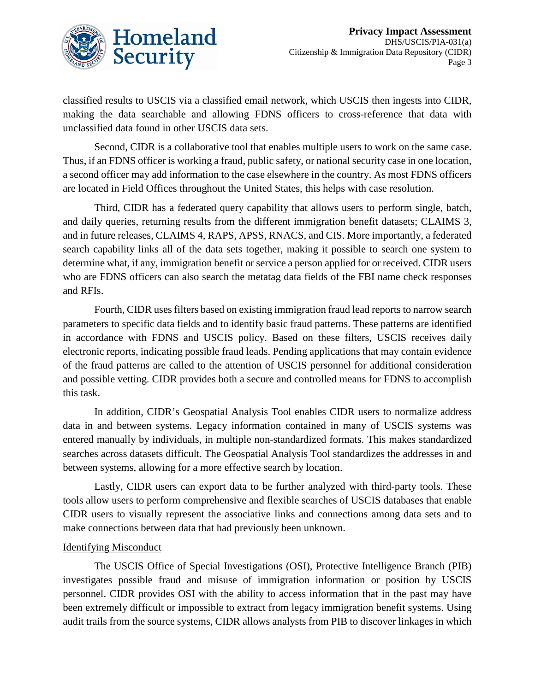

classified results to USCIS via a classified email network, which USCIS then ingests into CIDR, making the data searchable and allowing FDNS officers to cross-reference that data with unclassified data found in other USCIS data sets.

Second, CIDR is a collaborative tool that enables multiple users to work on the same case. Thus, if an FDNS officer is working a fraud, public safety, or national security case in one location, a second officer may add information to the case elsewhere in the country. As most FDNS officers are located in Field Offices throughout the United States, this helps with case resolution.

Third, CIDR has a federated query capability that allows users to perform single, batch, and daily queries, returning results from the different immigration benefit datasets; CLAIMS 3, and in future releases, CLAIMS 4, RAPS, APSS, RNACS, and CIS. More importantly, a federated search capability links all of the data sets together, making it possible to search one system to determine what, if any, immigration benefit or service a person applied for or received. CIDR users who are FDNS officers can also search the metatag data fields of the FBI name check responses and RFIs.

Fourth, CIDR uses filters based on existing immigration fraud lead reports to narrow search parameters to specific data fields and to identify basic fraud patterns. These patterns are identified in accordance with FDNS and USCIS policy. Based on these filters, USCIS receives daily electronic reports, indicating possible fraud leads. Pending applications that may contain evidence of the fraud patterns are called to the attention of USCIS personnel for additional consideration and possible vetting. CIDR provides both a secure and controlled means for FDNS to accomplish this task.

In addition, CIDR's Geospatial Analysis Tool enables CIDR users to normalize address data in and between systems. Legacy information contained in many of USCIS systems was entered manually by individuals, in multiple non-standardized formats. This makes standardized searches across datasets difficult. The Geospatial Analysis Tool standardizes the addresses in and between systems, allowing for a more effective search by location.

Lastly, CIDR users can export data to be further analyzed with third-party tools. These tools allow users to perform comprehensive and flexible searches of USCIS databases that enable CIDR users to visually represent the associative links and connections among data sets and to make connections between data that had previously been unknown.

#### Identifying Misconduct

The USCIS Office of Special Investigations (OSI), Protective Intelligence Branch (PIB) investigates possible fraud and misuse of immigration information or position by USCIS personnel. CIDR provides OSI with the ability to access information that in the past may have been extremely difficult or impossible to extract from legacy immigration benefit systems. Using audit trails from the source systems, CIDR allows analysts from PIB to discover linkages in which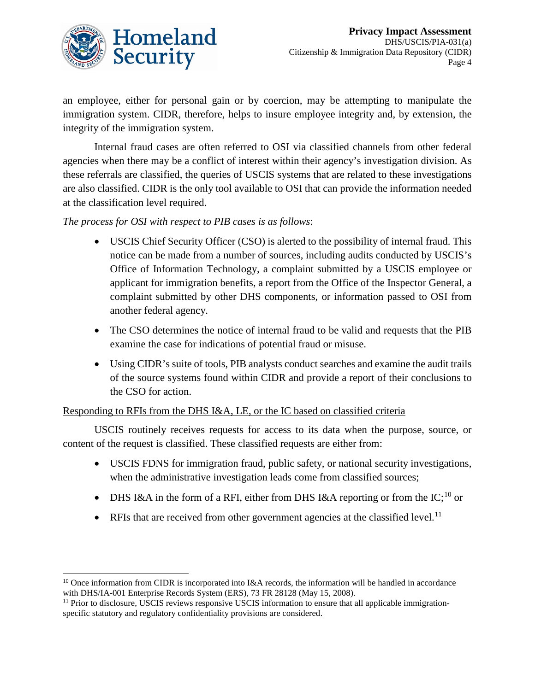

an employee, either for personal gain or by coercion, may be attempting to manipulate the immigration system. CIDR, therefore, helps to insure employee integrity and, by extension, the integrity of the immigration system.

Internal fraud cases are often referred to OSI via classified channels from other federal agencies when there may be a conflict of interest within their agency's investigation division. As these referrals are classified, the queries of USCIS systems that are related to these investigations are also classified. CIDR is the only tool available to OSI that can provide the information needed at the classification level required.

*The process for OSI with respect to PIB cases is as follows*:

- USCIS Chief Security Officer (CSO) is alerted to the possibility of internal fraud. This notice can be made from a number of sources, including audits conducted by USCIS's Office of Information Technology, a complaint submitted by a USCIS employee or applicant for immigration benefits, a report from the Office of the Inspector General, a complaint submitted by other DHS components, or information passed to OSI from another federal agency.
- The CSO determines the notice of internal fraud to be valid and requests that the PIB examine the case for indications of potential fraud or misuse.
- Using CIDR's suite of tools, PIB analysts conduct searches and examine the audit trails of the source systems found within CIDR and provide a report of their conclusions to the CSO for action.

#### Responding to RFIs from the DHS I&A, LE, or the IC based on classified criteria

USCIS routinely receives requests for access to its data when the purpose, source, or content of the request is classified. These classified requests are either from:

- USCIS FDNS for immigration fraud, public safety, or national security investigations, when the administrative investigation leads come from classified sources;
- DHS I&A in the form of a RFI, either from DHS I&A reporting or from the IC;<sup>[10](#page-4-0)</sup> or
- RFIs that are received from other government agencies at the classified level.<sup>[11](#page-4-1)</sup>

<span id="page-4-0"></span><sup>&</sup>lt;sup>10</sup> Once information from CIDR is incorporated into I&A records, the information will be handled in accordance with DHS/IA-001 Enterprise Records System (ERS), 73 FR 28128 (May 15, 2008).

<span id="page-4-1"></span><sup>&</sup>lt;sup>11</sup> Prior to disclosure, USCIS reviews responsive USCIS information to ensure that all applicable immigrationspecific statutory and regulatory confidentiality provisions are considered.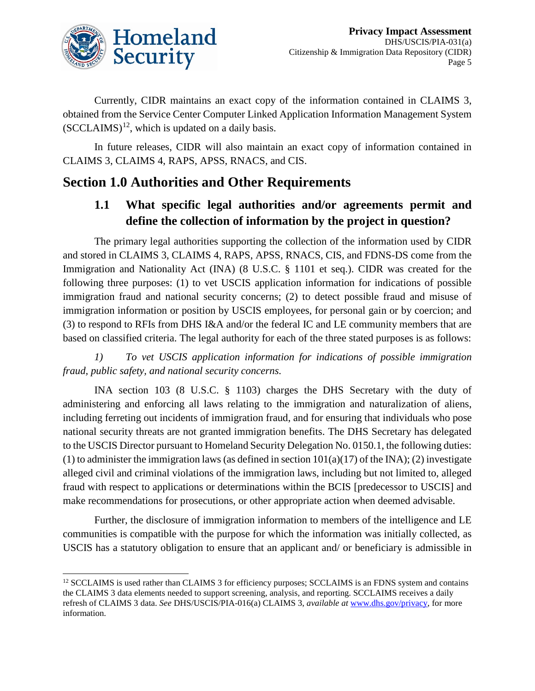

Currently, CIDR maintains an exact copy of the information contained in CLAIMS 3, obtained from the Service Center Computer Linked Application Information Management System  $(SCCLAIMS)^{12}$ , which is updated on a daily basis.

In future releases, CIDR will also maintain an exact copy of information contained in CLAIMS 3, CLAIMS 4, RAPS, APSS, RNACS, and CIS.

# **Section 1.0 Authorities and Other Requirements**

### **1.1 What specific legal authorities and/or agreements permit and define the collection of information by the project in question?**

The primary legal authorities supporting the collection of the information used by CIDR and stored in CLAIMS 3, CLAIMS 4, RAPS, APSS, RNACS, CIS, and FDNS-DS come from the Immigration and Nationality Act (INA) (8 U.S.C. § 1101 et seq.). CIDR was created for the following three purposes: (1) to vet USCIS application information for indications of possible immigration fraud and national security concerns; (2) to detect possible fraud and misuse of immigration information or position by USCIS employees, for personal gain or by coercion; and (3) to respond to RFIs from DHS I&A and/or the federal IC and LE community members that are based on classified criteria. The legal authority for each of the three stated purposes is as follows:

*1) To vet USCIS application information for indications of possible immigration fraud, public safety, and national security concerns.*

INA section 103 (8 U.S.C. § 1103) charges the DHS Secretary with the duty of administering and enforcing all laws relating to the immigration and naturalization of aliens, including ferreting out incidents of immigration fraud, and for ensuring that individuals who pose national security threats are not granted immigration benefits. The DHS Secretary has delegated to the USCIS Director pursuant to Homeland Security Delegation No. 0150.1, the following duties: (1) to administer the immigration laws (as defined in section  $101(a)(17)$  of the INA); (2) investigate alleged civil and criminal violations of the immigration laws, including but not limited to, alleged fraud with respect to applications or determinations within the BCIS [predecessor to USCIS] and make recommendations for prosecutions, or other appropriate action when deemed advisable.

Further, the disclosure of immigration information to members of the intelligence and LE communities is compatible with the purpose for which the information was initially collected, as USCIS has a statutory obligation to ensure that an applicant and/ or beneficiary is admissible in

<span id="page-5-0"></span><sup>&</sup>lt;sup>12</sup> SCCLAIMS is used rather than CLAIMS 3 for efficiency purposes; SCCLAIMS is an FDNS system and contains the CLAIMS 3 data elements needed to support screening, analysis, and reporting. SCCLAIMS receives a daily refresh of CLAIMS 3 data. *See* DHS/USCIS/PIA-016(a) CLAIMS 3, *available at* [www.dhs.gov/privacy,](http://www.dhs.gov/privacy) for more information.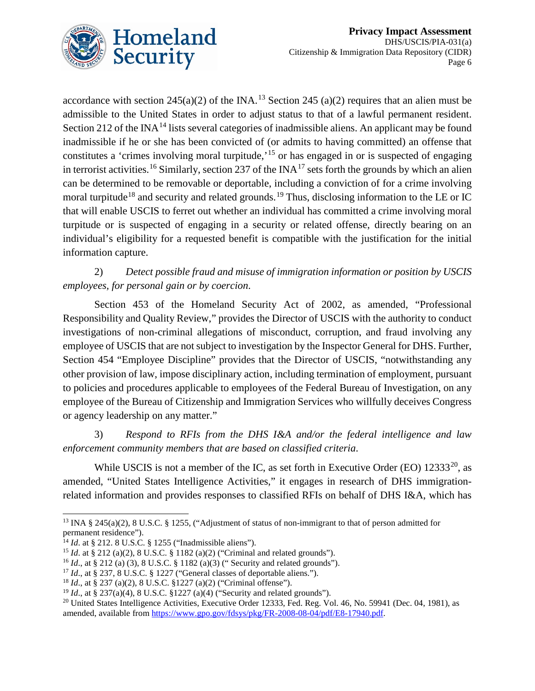

accordance with section 245(a)(2) of the INA.<sup>[13](#page-6-0)</sup> Section 245 (a)(2) requires that an alien must be admissible to the United States in order to adjust status to that of a lawful permanent resident. Section 212 of the INA<sup>[14](#page-6-1)</sup> lists several categories of inadmissible aliens. An applicant may be found inadmissible if he or she has been convicted of (or admits to having committed) an offense that constitutes a 'crimes involving moral turpitude,<sup>[15](#page-6-2)</sup> or has engaged in or is suspected of engaging in terrorist activities.<sup>[16](#page-6-3)</sup> Similarly, section 237 of the INA<sup>[17](#page-6-4)</sup> sets forth the grounds by which an alien can be determined to be removable or deportable, including a conviction of for a crime involving moral turpitude<sup>[18](#page-6-5)</sup> and security and related grounds.<sup>[19](#page-6-6)</sup> Thus, disclosing information to the LE or IC that will enable USCIS to ferret out whether an individual has committed a crime involving moral turpitude or is suspected of engaging in a security or related offense, directly bearing on an individual's eligibility for a requested benefit is compatible with the justification for the initial information capture.

2) *Detect possible fraud and misuse of immigration information or position by USCIS employees, for personal gain or by coercion*.

Section 453 of the Homeland Security Act of 2002, as amended, "Professional Responsibility and Quality Review," provides the Director of USCIS with the authority to conduct investigations of non-criminal allegations of misconduct, corruption, and fraud involving any employee of USCIS that are not subject to investigation by the Inspector General for DHS. Further, Section 454 "Employee Discipline" provides that the Director of USCIS, "notwithstanding any other provision of law, impose disciplinary action, including termination of employment, pursuant to policies and procedures applicable to employees of the Federal Bureau of Investigation, on any employee of the Bureau of Citizenship and Immigration Services who willfully deceives Congress or agency leadership on any matter."

3) *Respond to RFIs from the DHS I&A and/or the federal intelligence and law enforcement community members that are based on classified criteria*.

While USCIS is not a member of the IC, as set forth in Executive Order (EO)  $12333^{20}$  $12333^{20}$  $12333^{20}$ , as amended, "United States Intelligence Activities," it engages in research of DHS immigrationrelated information and provides responses to classified RFIs on behalf of DHS I&A, which has

<span id="page-6-0"></span><sup>&</sup>lt;sup>13</sup> INA § 245(a)(2), 8 U.S.C. § 1255, ("Adjustment of status of non-immigrant to that of person admitted for permanent residence").

<span id="page-6-1"></span><sup>14</sup> *Id*. at § 212. 8 U.S.C. § 1255 ("Inadmissible aliens").

<span id="page-6-2"></span><sup>15</sup> *Id*. at § 212 (a)(2), 8 U.S.C. § 1182 (a)(2) ("Criminal and related grounds").

<span id="page-6-3"></span><sup>&</sup>lt;sup>16</sup> *Id.*, at § 212 (a) (3), 8 U.S.C. § 1182 (a)(3) ("Security and related grounds").

<span id="page-6-4"></span><sup>&</sup>lt;sup>17</sup> *Id.*, at § 237, 8 U.S.C. § 1227 ("General classes of deportable aliens.").

<span id="page-6-5"></span><sup>18</sup> *Id*., at § 237 (a)(2), 8 U.S.C. §1227 (a)(2) ("Criminal offense").

<span id="page-6-6"></span><sup>19</sup> *Id*., at § 237(a)(4), 8 U.S.C. §1227 (a)(4) ("Security and related grounds").

<span id="page-6-7"></span><sup>&</sup>lt;sup>20</sup> United States Intelligence Activities, Executive Order 12333, Fed. Reg. Vol. 46, No. 59941 (Dec. 04, 1981), as amended, available fro[m https://www.gpo.gov/fdsys/pkg/FR-2008-08-04/pdf/E8-17940.pdf.](https://www.gpo.gov/fdsys/pkg/FR-2008-08-04/pdf/E8-17940.pdf)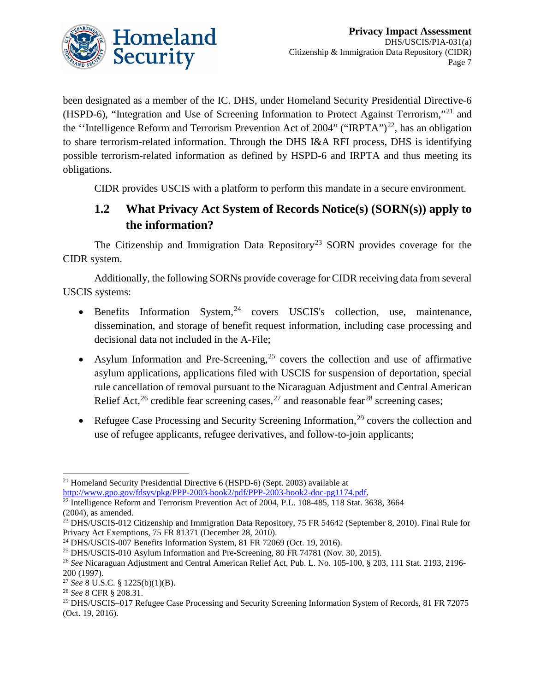

been designated as a member of the IC. DHS, under Homeland Security Presidential Directive-6 (HSPD-6), "Integration and Use of Screening Information to Protect Against Terrorism,"[21](#page-7-0) and the "Intelligence Reform and Terrorism Prevention Act of 2004" ("IRPTA")<sup>22</sup>, has an obligation to share terrorism-related information. Through the DHS I&A RFI process, DHS is identifying possible terrorism-related information as defined by HSPD-6 and IRPTA and thus meeting its obligations.

CIDR provides USCIS with a platform to perform this mandate in a secure environment.

# **1.2 What Privacy Act System of Records Notice(s) (SORN(s)) apply to the information?**

The Citizenship and Immigration Data Repository<sup>[23](#page-7-2)</sup> SORN provides coverage for the CIDR system.

Additionally, the following SORNs provide coverage for CIDR receiving data from several USCIS systems:

- Benefits Information System,  $24$  covers USCIS's collection, use, maintenance, dissemination, and storage of benefit request information, including case processing and decisional data not included in the A-File;
- Asylum Information and Pre-Screening,<sup>[25](#page-7-4)</sup> covers the collection and use of affirmative asylum applications, applications filed with USCIS for suspension of deportation, special rule cancellation of removal pursuant to the Nicaraguan Adjustment and Central American Relief Act, <sup>[26](#page-7-5)</sup> credible fear screening cases, <sup>[27](#page-7-6)</sup> and reasonable fear<sup>[28](#page-7-7)</sup> screening cases;
- Refugee Case Processing and Security Screening Information,<sup>[29](#page-7-8)</sup> covers the collection and use of refugee applicants, refugee derivatives, and follow-to-join applicants;

<span id="page-7-0"></span> <sup>21</sup> Homeland Security Presidential Directive 6 (HSPD-6) (Sept. 2003) available at [http://www.gpo.gov/fdsys/pkg/PPP-2003-book2/pdf/PPP-2003-book2-doc-pg1174.pdf.](http://www.gpo.gov/fdsys/pkg/PPP-2003-book2/pdf/PPP-2003-book2-doc-pg1174.pdf)

<span id="page-7-1"></span> $\frac{22}{22}$  Intelligence Reform and Terrorism Prevention Act of 2004, P.L. 108-485, 118 Stat. 3638, 3664 (2004), as amended.

<span id="page-7-2"></span><sup>&</sup>lt;sup>23</sup> DHS/USCIS-012 Citizenship and Immigration Data Repository, 75 FR 54642 (September 8, 2010). Final Rule for Privacy Act Exemptions, 75 FR 81371 (December 28, 2010).

<span id="page-7-3"></span><sup>24</sup> DHS/USCIS-007 Benefits Information System, 81 FR 72069 (Oct. 19, 2016).

<span id="page-7-4"></span><sup>&</sup>lt;sup>25</sup> DHS/USCIS-010 Asylum Information and Pre-Screening, 80 FR 74781 (Nov. 30, 2015).

<span id="page-7-5"></span><sup>26</sup> *See* Nicaraguan Adjustment and Central American Relief Act, Pub. L. No. 105-100, § 203, 111 Stat. 2193, 2196- 200 (1997).

<span id="page-7-6"></span><sup>27</sup> *See* 8 U.S.C. § 1225(b)(1)(B).

<span id="page-7-7"></span><sup>28</sup> *See* 8 CFR § 208.31.

<span id="page-7-8"></span><sup>29</sup> DHS/USCIS–017 Refugee Case Processing and Security Screening Information System of Records, 81 FR 72075 (Oct. 19, 2016).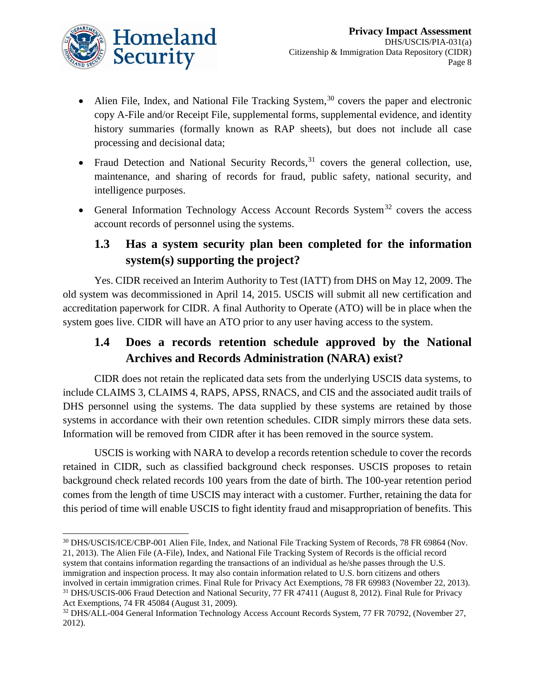

- Alien File, Index, and National File Tracking System,  $30$  covers the paper and electronic copy A-File and/or Receipt File, supplemental forms, supplemental evidence, and identity history summaries (formally known as RAP sheets), but does not include all case processing and decisional data;
- Fraud Detection and National Security Records,  $31$  covers the general collection, use, maintenance, and sharing of records for fraud, public safety, national security, and intelligence purposes.
- General Information Technology Access Account Records System<sup>[32](#page-8-2)</sup> covers the access account records of personnel using the systems.

# **1.3 Has a system security plan been completed for the information system(s) supporting the project?**

Yes. CIDR received an Interim Authority to Test (IATT) from DHS on May 12, 2009. The old system was decommissioned in April 14, 2015. USCIS will submit all new certification and accreditation paperwork for CIDR. A final Authority to Operate (ATO) will be in place when the system goes live. CIDR will have an ATO prior to any user having access to the system.

# **1.4 Does a records retention schedule approved by the National Archives and Records Administration (NARA) exist?**

CIDR does not retain the replicated data sets from the underlying USCIS data systems, to include CLAIMS 3, CLAIMS 4, RAPS, APSS, RNACS, and CIS and the associated audit trails of DHS personnel using the systems. The data supplied by these systems are retained by those systems in accordance with their own retention schedules. CIDR simply mirrors these data sets. Information will be removed from CIDR after it has been removed in the source system.

USCIS is working with NARA to develop a records retention schedule to cover the records retained in CIDR, such as classified background check responses. USCIS proposes to retain background check related records 100 years from the date of birth. The 100-year retention period comes from the length of time USCIS may interact with a customer. Further, retaining the data for this period of time will enable USCIS to fight identity fraud and misappropriation of benefits. This

<span id="page-8-0"></span> <sup>30</sup> DHS/USCIS/ICE/CBP-001 Alien File, Index, and National File Tracking System of Records, 78 FR 69864 (Nov. 21, 2013). The Alien File (A-File), Index, and National File Tracking System of Records is the official record system that contains information regarding the transactions of an individual as he/she passes through the U.S. immigration and inspection process. It may also contain information related to U.S. born citizens and others involved in certain immigration crimes. Final Rule for Privacy Act Exemptions, 78 FR 69983 (November 22, 2013). <sup>31</sup> DHS/USCIS-006 Fraud Detection and National Security, 77 FR 47411 (August 8, 2012). Final Rule for Privacy Act Exemptions, 74 FR 45084 (August 31, 2009).

<span id="page-8-2"></span><span id="page-8-1"></span><sup>&</sup>lt;sup>32</sup> DHS/ALL-004 General Information Technology Access Account Records System, 77 FR 70792, (November 27, 2012).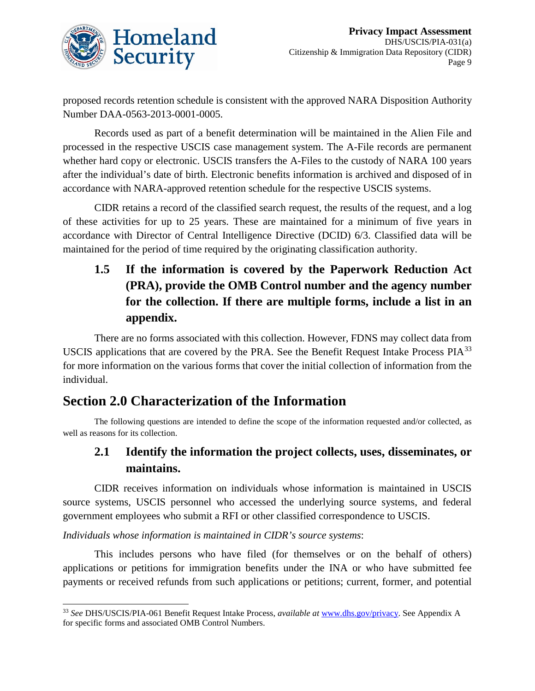

proposed records retention schedule is consistent with the approved NARA Disposition Authority Number DAA-0563-2013-0001-0005.

Records used as part of a benefit determination will be maintained in the Alien File and processed in the respective USCIS case management system. The A-File records are permanent whether hard copy or electronic. USCIS transfers the A-Files to the custody of NARA 100 years after the individual's date of birth. Electronic benefits information is archived and disposed of in accordance with NARA-approved retention schedule for the respective USCIS systems.

CIDR retains a record of the classified search request, the results of the request, and a log of these activities for up to 25 years. These are maintained for a minimum of five years in accordance with Director of Central Intelligence Directive (DCID) 6/3. Classified data will be maintained for the period of time required by the originating classification authority.

# **1.5 If the information is covered by the Paperwork Reduction Act (PRA), provide the OMB Control number and the agency number for the collection. If there are multiple forms, include a list in an appendix.**

There are no forms associated with this collection. However, FDNS may collect data from USCIS applications that are covered by the PRA. See the Benefit Request Intake Process PIA[33](#page-9-0) for more information on the various forms that cover the initial collection of information from the individual.

# **Section 2.0 Characterization of the Information**

The following questions are intended to define the scope of the information requested and/or collected, as well as reasons for its collection.

# **2.1 Identify the information the project collects, uses, disseminates, or maintains.**

CIDR receives information on individuals whose information is maintained in USCIS source systems, USCIS personnel who accessed the underlying source systems, and federal government employees who submit a RFI or other classified correspondence to USCIS.

*Individuals whose information is maintained in CIDR's source systems*:

This includes persons who have filed (for themselves or on the behalf of others) applications or petitions for immigration benefits under the INA or who have submitted fee payments or received refunds from such applications or petitions; current, former, and potential

<span id="page-9-0"></span> <sup>33</sup> *See* DHS/USCIS/PIA-061 Benefit Request Intake Process, *available at* [www.dhs.gov/privacy.](http://www.dhs.gov/privacy) See Appendix A for specific forms and associated OMB Control Numbers.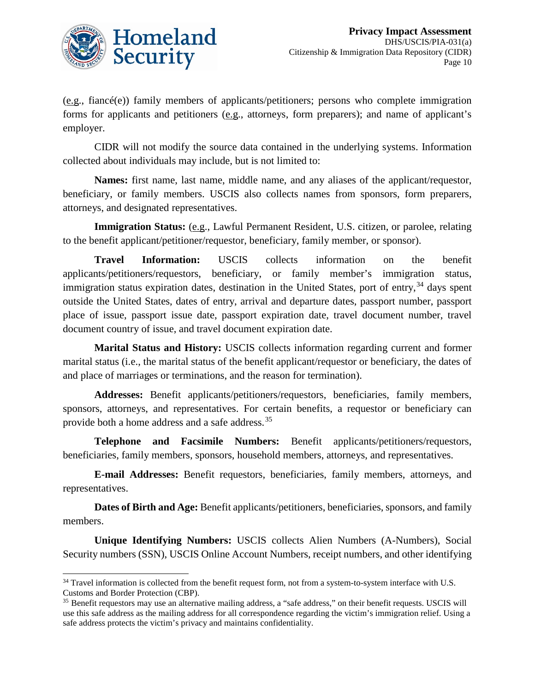

(e.g., fiancé(e)) family members of applicants/petitioners; persons who complete immigration forms for applicants and petitioners (e.g., attorneys, form preparers); and name of applicant's employer.

CIDR will not modify the source data contained in the underlying systems. Information collected about individuals may include, but is not limited to:

**Names:** first name, last name, middle name, and any aliases of the applicant/requestor, beneficiary, or family members. USCIS also collects names from sponsors, form preparers, attorneys, and designated representatives.

**Immigration Status:** (e.g., Lawful Permanent Resident, U.S. citizen, or parolee, relating to the benefit applicant/petitioner/requestor, beneficiary, family member, or sponsor).

**Travel Information:** USCIS collects information on the benefit applicants/petitioners/requestors, beneficiary, or family member's immigration status, immigration status expiration dates, destination in the United States, port of entry,  $34$  days spent outside the United States, dates of entry, arrival and departure dates, passport number, passport place of issue, passport issue date, passport expiration date, travel document number, travel document country of issue, and travel document expiration date.

**Marital Status and History:** USCIS collects information regarding current and former marital status (i.e., the marital status of the benefit applicant/requestor or beneficiary, the dates of and place of marriages or terminations, and the reason for termination).

**Addresses:** Benefit applicants/petitioners/requestors, beneficiaries, family members, sponsors, attorneys, and representatives. For certain benefits, a requestor or beneficiary can provide both a home address and a safe address.[35](#page-10-1)

**Telephone and Facsimile Numbers:** Benefit applicants/petitioners/requestors, beneficiaries, family members, sponsors, household members, attorneys, and representatives.

**E-mail Addresses:** Benefit requestors, beneficiaries, family members, attorneys, and representatives.

**Dates of Birth and Age:** Benefit applicants/petitioners, beneficiaries, sponsors, and family members.

**Unique Identifying Numbers:** USCIS collects Alien Numbers (A-Numbers), Social Security numbers (SSN), USCIS Online Account Numbers, receipt numbers, and other identifying

<span id="page-10-0"></span><sup>&</sup>lt;sup>34</sup> Travel information is collected from the benefit request form, not from a system-to-system interface with U.S. Customs and Border Protection (CBP).

<span id="page-10-1"></span><sup>35</sup> Benefit requestors may use an alternative mailing address, a "safe address," on their benefit requests. USCIS will use this safe address as the mailing address for all correspondence regarding the victim's immigration relief. Using a safe address protects the victim's privacy and maintains confidentiality.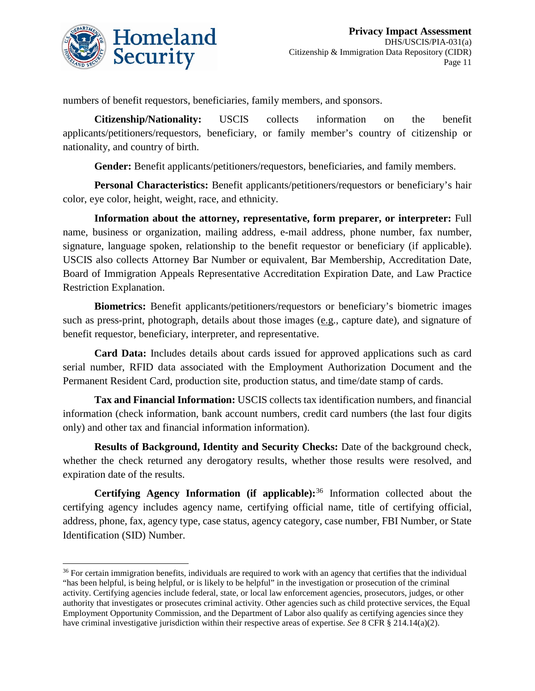

numbers of benefit requestors, beneficiaries, family members, and sponsors.

**Citizenship/Nationality:** USCIS collects information on the benefit applicants/petitioners/requestors, beneficiary, or family member's country of citizenship or nationality, and country of birth.

**Gender:** Benefit applicants/petitioners/requestors, beneficiaries, and family members.

**Personal Characteristics:** Benefit applicants/petitioners/requestors or beneficiary's hair color, eye color, height, weight, race, and ethnicity.

**Information about the attorney, representative, form preparer, or interpreter:** Full name, business or organization, mailing address, e-mail address, phone number, fax number, signature, language spoken, relationship to the benefit requestor or beneficiary (if applicable). USCIS also collects Attorney Bar Number or equivalent, Bar Membership, Accreditation Date, Board of Immigration Appeals Representative Accreditation Expiration Date, and Law Practice Restriction Explanation.

**Biometrics:** Benefit applicants/petitioners/requestors or beneficiary's biometric images such as press-print, photograph, details about those images (e.g., capture date), and signature of benefit requestor, beneficiary, interpreter, and representative.

**Card Data:** Includes details about cards issued for approved applications such as card serial number, RFID data associated with the Employment Authorization Document and the Permanent Resident Card, production site, production status, and time/date stamp of cards.

**Tax and Financial Information:** USCIS collects tax identification numbers, and financial information (check information, bank account numbers, credit card numbers (the last four digits only) and other tax and financial information information).

**Results of Background, Identity and Security Checks:** Date of the background check, whether the check returned any derogatory results, whether those results were resolved, and expiration date of the results.

**Certifying Agency Information (if applicable):**[36](#page-11-0) Information collected about the certifying agency includes agency name, certifying official name, title of certifying official, address, phone, fax, agency type, case status, agency category, case number, FBI Number, or State Identification (SID) Number.

<span id="page-11-0"></span><sup>&</sup>lt;sup>36</sup> For certain immigration benefits, individuals are required to work with an agency that certifies that the individual "has been helpful, is being helpful, or is likely to be helpful" in the investigation or prosecution of the criminal activity. Certifying agencies include federal, state, or local law enforcement agencies, prosecutors, judges, or other authority that investigates or prosecutes criminal activity. Other agencies such as child protective services, the Equal Employment Opportunity Commission, and the Department of Labor also qualify as certifying agencies since they have criminal investigative jurisdiction within their respective areas of expertise. *See* 8 CFR § 214.14(a)(2).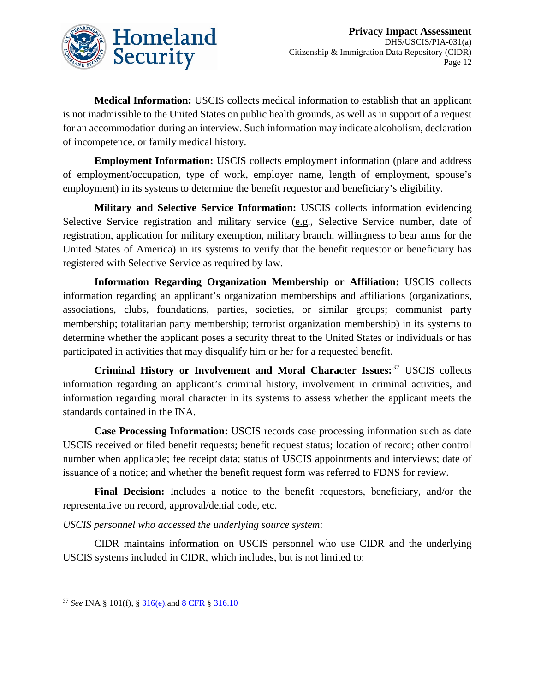

**Medical Information:** USCIS collects medical information to establish that an applicant is not inadmissible to the United States on public health grounds, as well as in support of a request for an accommodation during an interview. Such information may indicate alcoholism, declaration of incompetence, or family medical history.

**Employment Information:** USCIS collects employment information (place and address of employment/occupation, type of work, employer name, length of employment, spouse's employment) in its systems to determine the benefit requestor and beneficiary's eligibility.

**Military and Selective Service Information:** USCIS collects information evidencing Selective Service registration and military service (e.g., Selective Service number, date of registration, application for military exemption, military branch, willingness to bear arms for the United States of America) in its systems to verify that the benefit requestor or beneficiary has registered with Selective Service as required by law.

**Information Regarding Organization Membership or Affiliation:** USCIS collects information regarding an applicant's organization memberships and affiliations (organizations, associations, clubs, foundations, parties, societies, or similar groups; communist party membership; totalitarian party membership; terrorist organization membership) in its systems to determine whether the applicant poses a security threat to the United States or individuals or has participated in activities that may disqualify him or her for a requested benefit.

**Criminal History or Involvement and Moral Character Issues:**[37](#page-12-0) USCIS collects information regarding an applicant's criminal history, involvement in criminal activities, and information regarding moral character in its systems to assess whether the applicant meets the standards contained in the INA.

**Case Processing Information:** USCIS records case processing information such as date USCIS received or filed benefit requests; benefit request status; location of record; other control number when applicable; fee receipt data; status of USCIS appointments and interviews; date of issuance of a notice; and whether the benefit request form was referred to FDNS for review.

**Final Decision:** Includes a notice to the benefit requestors, beneficiary, and/or the representative on record, approval/denial code, etc.

*USCIS personnel who accessed the underlying source system*:

CIDR maintains information on USCIS personnel who use CIDR and the underlying USCIS systems included in CIDR, which includes, but is not limited to:

<span id="page-12-0"></span> <sup>37</sup> *See* INA § 101(f), § [316\(e\),](http://www.uscis.gov/ilink/docView/SLB/HTML/SLB/0-0-0-1/0-0-0-29/0-0-0-9898.html)and [8 CFR §](http://www.uscis.gov/ilink/docView/SLB/HTML/SLB/0-0-0-1/0-0-0-11261/0-0-0-30960/0-0-0-31086.html) 316.10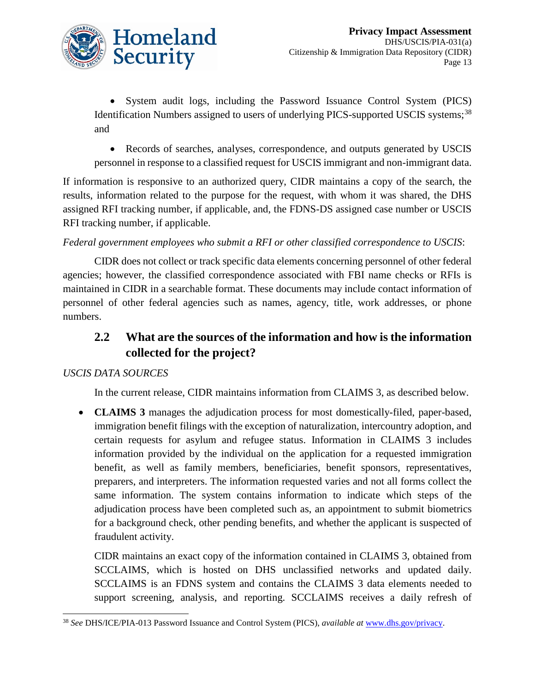

• System audit logs, including the Password Issuance Control System (PICS) Identification Numbers assigned to users of underlying PICS-supported USCIS systems;<sup>[38](#page-13-0)</sup> and

• Records of searches, analyses, correspondence, and outputs generated by USCIS personnel in response to a classified request for USCIS immigrant and non-immigrant data.

If information is responsive to an authorized query, CIDR maintains a copy of the search, the results, information related to the purpose for the request, with whom it was shared, the DHS assigned RFI tracking number, if applicable, and, the FDNS-DS assigned case number or USCIS RFI tracking number, if applicable.

#### *Federal government employees who submit a RFI or other classified correspondence to USCIS*:

CIDR does not collect or track specific data elements concerning personnel of other federal agencies; however, the classified correspondence associated with FBI name checks or RFIs is maintained in CIDR in a searchable format. These documents may include contact information of personnel of other federal agencies such as names, agency, title, work addresses, or phone numbers.

# **2.2 What are the sources of the information and how is the information collected for the project?**

#### *USCIS DATA SOURCES*

In the current release, CIDR maintains information from CLAIMS 3, as described below.

• **CLAIMS 3** manages the adjudication process for most domestically-filed, paper-based, immigration benefit filings with the exception of naturalization, intercountry adoption, and certain requests for asylum and refugee status. Information in CLAIMS 3 includes information provided by the individual on the application for a requested immigration benefit, as well as family members, beneficiaries, benefit sponsors, representatives, preparers, and interpreters. The information requested varies and not all forms collect the same information. The system contains information to indicate which steps of the adjudication process have been completed such as, an appointment to submit biometrics for a background check, other pending benefits, and whether the applicant is suspected of fraudulent activity.

CIDR maintains an exact copy of the information contained in CLAIMS 3, obtained from SCCLAIMS, which is hosted on DHS unclassified networks and updated daily. SCCLAIMS is an FDNS system and contains the CLAIMS 3 data elements needed to support screening, analysis, and reporting. SCCLAIMS receives a daily refresh of

<span id="page-13-0"></span> <sup>38</sup> *See* DHS/ICE/PIA-013 Password Issuance and Control System (PICS), *available at* [www.dhs.gov/privacy.](http://www.dhs.gov/privacy)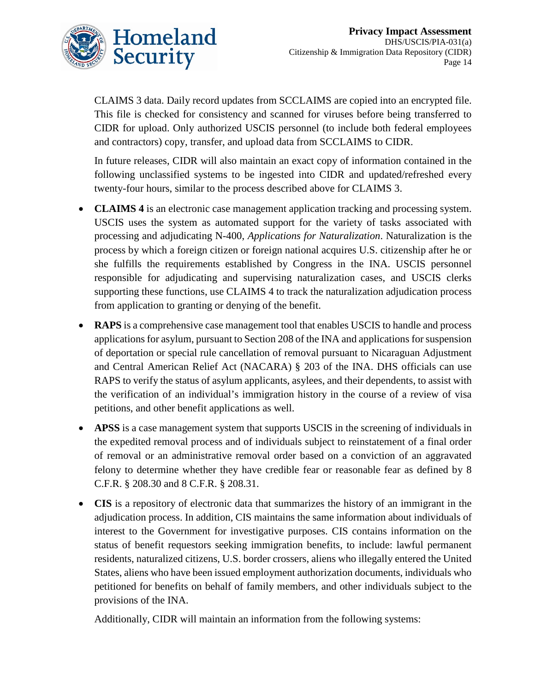

CLAIMS 3 data. Daily record updates from SCCLAIMS are copied into an encrypted file. This file is checked for consistency and scanned for viruses before being transferred to CIDR for upload. Only authorized USCIS personnel (to include both federal employees and contractors) copy, transfer, and upload data from SCCLAIMS to CIDR.

In future releases, CIDR will also maintain an exact copy of information contained in the following unclassified systems to be ingested into CIDR and updated/refreshed every twenty-four hours, similar to the process described above for CLAIMS 3.

- **CLAIMS 4** is an electronic case management application tracking and processing system. USCIS uses the system as automated support for the variety of tasks associated with processing and adjudicating N-400, *Applications for Naturalization*. Naturalization is the process by which a foreign citizen or foreign national acquires U.S. citizenship after he or she fulfills the requirements established by Congress in the INA. USCIS personnel responsible for adjudicating and supervising naturalization cases, and USCIS clerks supporting these functions, use CLAIMS 4 to track the naturalization adjudication process from application to granting or denying of the benefit.
- **RAPS** is a comprehensive case management tool that enables USCIS to handle and process applications for asylum, pursuant to Section 208 of the INA and applications for suspension of deportation or special rule cancellation of removal pursuant to Nicaraguan Adjustment and Central American Relief Act (NACARA) § 203 of the INA. DHS officials can use RAPS to verify the status of asylum applicants, asylees, and their dependents, to assist with the verification of an individual's immigration history in the course of a review of visa petitions, and other benefit applications as well.
- **APSS** is a case management system that supports USCIS in the screening of individuals in the expedited removal process and of individuals subject to reinstatement of a final order of removal or an administrative removal order based on a conviction of an aggravated felony to determine whether they have credible fear or reasonable fear as defined by 8 C.F.R. § 208.30 and 8 C.F.R. § 208.31.
- **CIS** is a repository of electronic data that summarizes the history of an immigrant in the adjudication process. In addition, CIS maintains the same information about individuals of interest to the Government for investigative purposes. CIS contains information on the status of benefit requestors seeking immigration benefits, to include: lawful permanent residents, naturalized citizens, U.S. border crossers, aliens who illegally entered the United States, aliens who have been issued employment authorization documents, individuals who petitioned for benefits on behalf of family members, and other individuals subject to the provisions of the INA.

Additionally, CIDR will maintain an information from the following systems: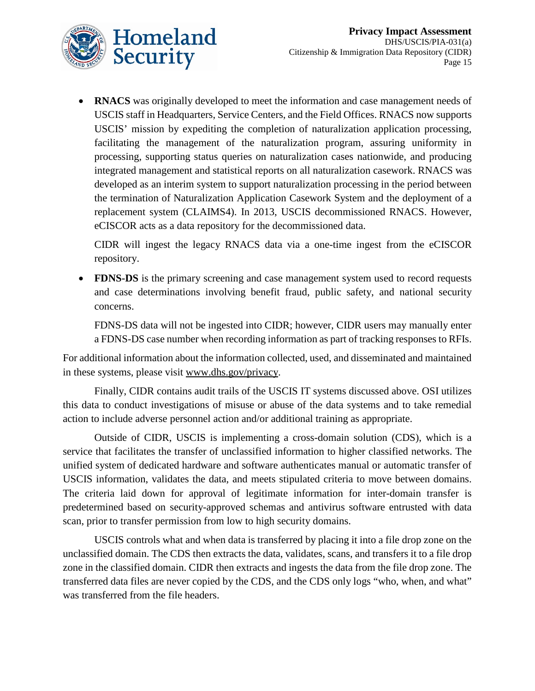

**RNACS** was originally developed to meet the information and case management needs of USCIS staff in Headquarters, Service Centers, and the Field Offices. RNACS now supports USCIS' mission by expediting the completion of naturalization application processing, facilitating the management of the naturalization program, assuring uniformity in processing, supporting status queries on naturalization cases nationwide, and producing integrated management and statistical reports on all naturalization casework. RNACS was developed as an interim system to support naturalization processing in the period between the termination of Naturalization Application Casework System and the deployment of a replacement system (CLAIMS4). In 2013, USCIS decommissioned RNACS. However, eCISCOR acts as a data repository for the decommissioned data.

CIDR will ingest the legacy RNACS data via a one-time ingest from the eCISCOR repository.

• **FDNS-DS** is the primary screening and case management system used to record requests and case determinations involving benefit fraud, public safety, and national security concerns.

FDNS-DS data will not be ingested into CIDR; however, CIDR users may manually enter a FDNS-DS case number when recording information as part of tracking responses to RFIs.

For additional information about the information collected, used, and disseminated and maintained in these systems, please visit [www.dhs.gov/privacy.](http://www.dhs.gov/privacy)

Finally, CIDR contains audit trails of the USCIS IT systems discussed above. OSI utilizes this data to conduct investigations of misuse or abuse of the data systems and to take remedial action to include adverse personnel action and/or additional training as appropriate.

Outside of CIDR, USCIS is implementing a cross-domain solution (CDS), which is a service that facilitates the transfer of unclassified information to higher classified networks. The unified system of dedicated hardware and software authenticates manual or automatic transfer of USCIS information, validates the data, and meets stipulated criteria to move between domains. The criteria laid down for approval of legitimate information for inter-domain transfer is predetermined based on security-approved schemas and antivirus software entrusted with data scan, prior to transfer permission from low to high security domains.

USCIS controls what and when data is transferred by placing it into a file drop zone on the unclassified domain. The CDS then extracts the data, validates, scans, and transfers it to a file drop zone in the classified domain. CIDR then extracts and ingests the data from the file drop zone. The transferred data files are never copied by the CDS, and the CDS only logs "who, when, and what" was transferred from the file headers.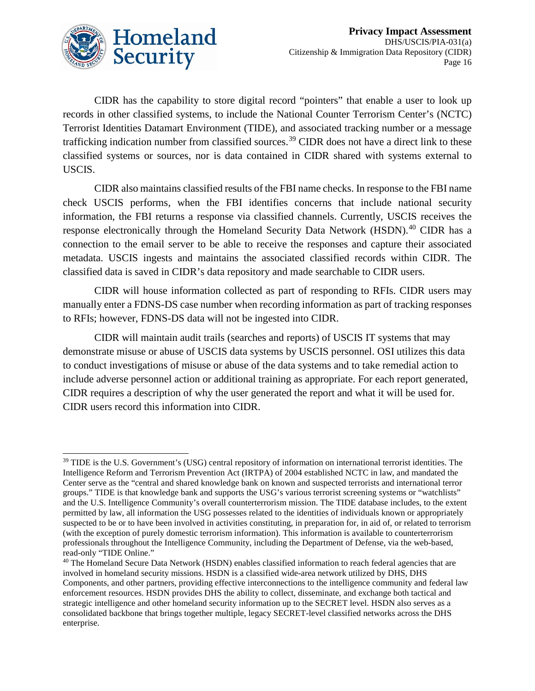

CIDR has the capability to store digital record "pointers" that enable a user to look up records in other classified systems, to include the National Counter Terrorism Center's (NCTC) Terrorist Identities Datamart Environment (TIDE), and associated tracking number or a message trafficking indication number from classified sources.[39](#page-16-0) CIDR does not have a direct link to these classified systems or sources, nor is data contained in CIDR shared with systems external to USCIS.

CIDR also maintains classified results of the FBI name checks. In response to the FBI name check USCIS performs, when the FBI identifies concerns that include national security information, the FBI returns a response via classified channels. Currently, USCIS receives the response electronically through the Homeland Security Data Network (HSDN).<sup>[40](#page-16-1)</sup> CIDR has a connection to the email server to be able to receive the responses and capture their associated metadata. USCIS ingests and maintains the associated classified records within CIDR. The classified data is saved in CIDR's data repository and made searchable to CIDR users.

CIDR will house information collected as part of responding to RFIs. CIDR users may manually enter a FDNS-DS case number when recording information as part of tracking responses to RFIs; however, FDNS-DS data will not be ingested into CIDR.

CIDR will maintain audit trails (searches and reports) of USCIS IT systems that may demonstrate misuse or abuse of USCIS data systems by USCIS personnel. OSI utilizes this data to conduct investigations of misuse or abuse of the data systems and to take remedial action to include adverse personnel action or additional training as appropriate. For each report generated, CIDR requires a description of why the user generated the report and what it will be used for. CIDR users record this information into CIDR.

<span id="page-16-0"></span><sup>&</sup>lt;sup>39</sup> TIDE is the U.S. Government's (USG) central repository of information on international terrorist identities. The Intelligence Reform and Terrorism Prevention Act (IRTPA) of 2004 established NCTC in law, and mandated the Center serve as the "central and shared knowledge bank on known and suspected terrorists and international terror groups." TIDE is that knowledge bank and supports the USG's various terrorist screening systems or "watchlists" and the U.S. Intelligence Community's overall counterterrorism mission. The TIDE database includes, to the extent permitted by law, all information the USG possesses related to the identities of individuals known or appropriately suspected to be or to have been involved in activities constituting, in preparation for, in aid of, or related to terrorism (with the exception of purely domestic terrorism information). This information is available to counterterrorism professionals throughout the Intelligence Community, including the Department of Defense, via the web-based, read-only "TIDE Online."

<span id="page-16-1"></span><sup>&</sup>lt;sup>40</sup> The Homeland Secure Data Network (HSDN) enables classified information to reach federal agencies that are involved in homeland security missions. HSDN is a classified wide-area network utilized by DHS, DHS Components, and other partners, providing effective interconnections to the intelligence community and federal law enforcement resources. HSDN provides DHS the ability to collect, disseminate, and exchange both tactical and strategic intelligence and other homeland security information up to the SECRET level. HSDN also serves as a consolidated backbone that brings together multiple, legacy SECRET-level classified networks across the DHS enterprise.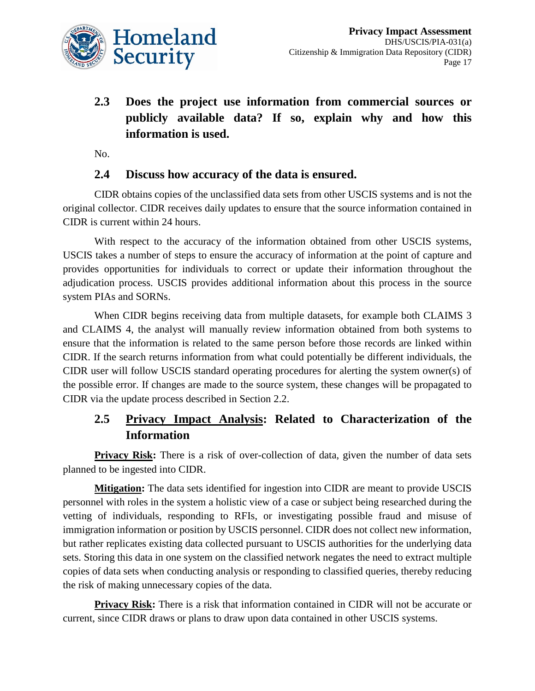

**2.3 Does the project use information from commercial sources or publicly available data? If so, explain why and how this information is used.**

No.

#### **2.4 Discuss how accuracy of the data is ensured.**

CIDR obtains copies of the unclassified data sets from other USCIS systems and is not the original collector. CIDR receives daily updates to ensure that the source information contained in CIDR is current within 24 hours.

With respect to the accuracy of the information obtained from other USCIS systems, USCIS takes a number of steps to ensure the accuracy of information at the point of capture and provides opportunities for individuals to correct or update their information throughout the adjudication process. USCIS provides additional information about this process in the source system PIAs and SORNs.

When CIDR begins receiving data from multiple datasets, for example both CLAIMS 3 and CLAIMS 4, the analyst will manually review information obtained from both systems to ensure that the information is related to the same person before those records are linked within CIDR. If the search returns information from what could potentially be different individuals, the CIDR user will follow USCIS standard operating procedures for alerting the system owner(s) of the possible error. If changes are made to the source system, these changes will be propagated to CIDR via the update process described in Section 2.2.

### **2.5 Privacy Impact Analysis: Related to Characterization of the Information**

**Privacy Risk:** There is a risk of over-collection of data, given the number of data sets planned to be ingested into CIDR.

**Mitigation:** The data sets identified for ingestion into CIDR are meant to provide USCIS personnel with roles in the system a holistic view of a case or subject being researched during the vetting of individuals, responding to RFIs, or investigating possible fraud and misuse of immigration information or position by USCIS personnel. CIDR does not collect new information, but rather replicates existing data collected pursuant to USCIS authorities for the underlying data sets. Storing this data in one system on the classified network negates the need to extract multiple copies of data sets when conducting analysis or responding to classified queries, thereby reducing the risk of making unnecessary copies of the data.

**Privacy Risk:** There is a risk that information contained in CIDR will not be accurate or current, since CIDR draws or plans to draw upon data contained in other USCIS systems.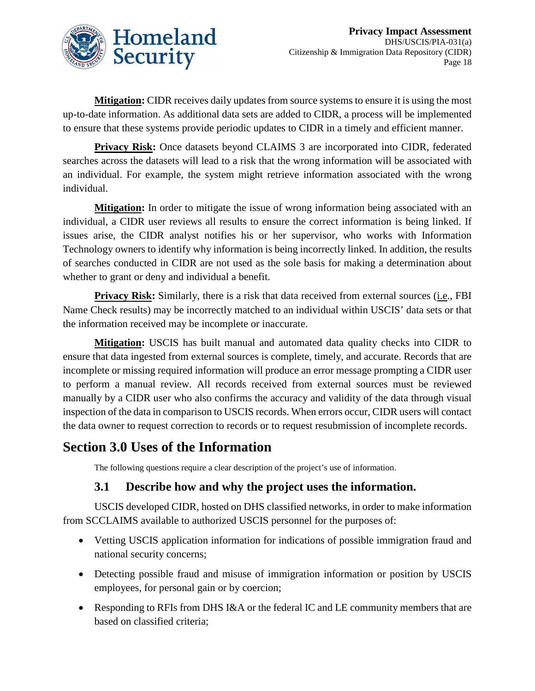

**Mitigation:** CIDR receives daily updates from source systems to ensure it is using the most up-to-date information. As additional data sets are added to CIDR, a process will be implemented to ensure that these systems provide periodic updates to CIDR in a timely and efficient manner.

**Privacy Risk:** Once datasets beyond CLAIMS 3 are incorporated into CIDR, federated searches across the datasets will lead to a risk that the wrong information will be associated with an individual. For example, the system might retrieve information associated with the wrong individual.

**Mitigation:** In order to mitigate the issue of wrong information being associated with an individual, a CIDR user reviews all results to ensure the correct information is being linked. If issues arise, the CIDR analyst notifies his or her supervisor, who works with Information Technology owners to identify why information is being incorrectly linked. In addition, the results of searches conducted in CIDR are not used as the sole basis for making a determination about whether to grant or deny and individual a benefit.

**Privacy Risk:** Similarly, there is a risk that data received from external sources (i.e., FBI Name Check results) may be incorrectly matched to an individual within USCIS' data sets or that the information received may be incomplete or inaccurate.

**Mitigation:** USCIS has built manual and automated data quality checks into CIDR to ensure that data ingested from external sources is complete, timely, and accurate. Records that are incomplete or missing required information will produce an error message prompting a CIDR user to perform a manual review. All records received from external sources must be reviewed manually by a CIDR user who also confirms the accuracy and validity of the data through visual inspection of the data in comparison to USCIS records. When errors occur, CIDR users will contact the data owner to request correction to records or to request resubmission of incomplete records.

### **Section 3.0 Uses of the Information**

The following questions require a clear description of the project's use of information.

#### **3.1 Describe how and why the project uses the information.**

USCIS developed CIDR, hosted on DHS classified networks, in order to make information from SCCLAIMS available to authorized USCIS personnel for the purposes of:

- Vetting USCIS application information for indications of possible immigration fraud and national security concerns;
- Detecting possible fraud and misuse of immigration information or position by USCIS employees, for personal gain or by coercion;
- Responding to RFIs from DHS I&A or the federal IC and LE community members that are based on classified criteria;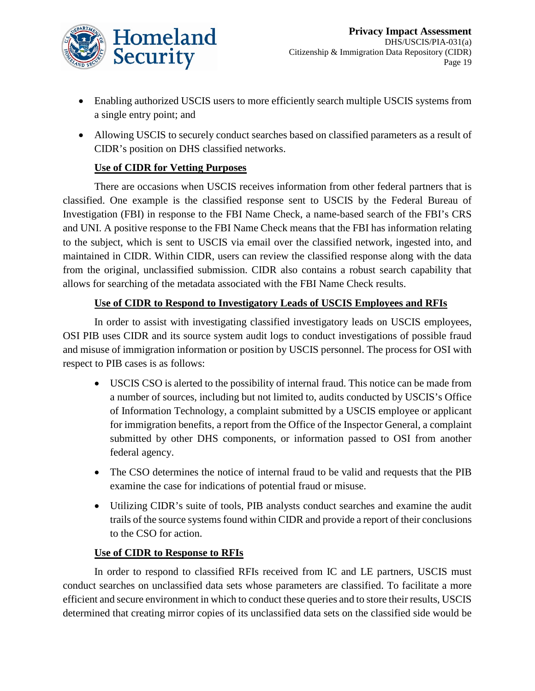

- Enabling authorized USCIS users to more efficiently search multiple USCIS systems from a single entry point; and
- Allowing USCIS to securely conduct searches based on classified parameters as a result of CIDR's position on DHS classified networks.

#### **Use of CIDR for Vetting Purposes**

There are occasions when USCIS receives information from other federal partners that is classified. One example is the classified response sent to USCIS by the Federal Bureau of Investigation (FBI) in response to the FBI Name Check, a name-based search of the FBI's CRS and UNI. A positive response to the FBI Name Check means that the FBI has information relating to the subject, which is sent to USCIS via email over the classified network, ingested into, and maintained in CIDR. Within CIDR, users can review the classified response along with the data from the original, unclassified submission. CIDR also contains a robust search capability that allows for searching of the metadata associated with the FBI Name Check results.

#### **Use of CIDR to Respond to Investigatory Leads of USCIS Employees and RFIs**

In order to assist with investigating classified investigatory leads on USCIS employees, OSI PIB uses CIDR and its source system audit logs to conduct investigations of possible fraud and misuse of immigration information or position by USCIS personnel. The process for OSI with respect to PIB cases is as follows:

- USCIS CSO is alerted to the possibility of internal fraud. This notice can be made from a number of sources, including but not limited to, audits conducted by USCIS's Office of Information Technology, a complaint submitted by a USCIS employee or applicant for immigration benefits, a report from the Office of the Inspector General, a complaint submitted by other DHS components, or information passed to OSI from another federal agency.
- The CSO determines the notice of internal fraud to be valid and requests that the PIB examine the case for indications of potential fraud or misuse.
- Utilizing CIDR's suite of tools, PIB analysts conduct searches and examine the audit trails of the source systems found within CIDR and provide a report of their conclusions to the CSO for action.

#### **Use of CIDR to Response to RFIs**

In order to respond to classified RFIs received from IC and LE partners, USCIS must conduct searches on unclassified data sets whose parameters are classified. To facilitate a more efficient and secure environment in which to conduct these queries and to store their results, USCIS determined that creating mirror copies of its unclassified data sets on the classified side would be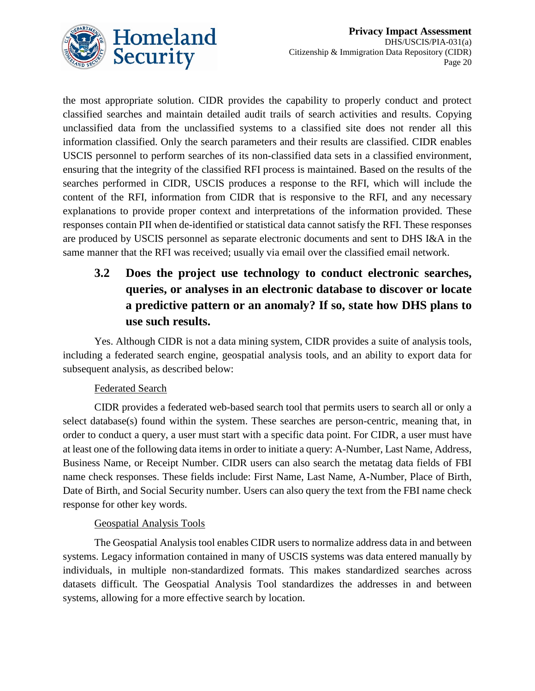

the most appropriate solution. CIDR provides the capability to properly conduct and protect classified searches and maintain detailed audit trails of search activities and results. Copying unclassified data from the unclassified systems to a classified site does not render all this information classified. Only the search parameters and their results are classified. CIDR enables USCIS personnel to perform searches of its non-classified data sets in a classified environment, ensuring that the integrity of the classified RFI process is maintained. Based on the results of the searches performed in CIDR, USCIS produces a response to the RFI, which will include the content of the RFI, information from CIDR that is responsive to the RFI, and any necessary explanations to provide proper context and interpretations of the information provided. These responses contain PII when de-identified or statistical data cannot satisfy the RFI. These responses are produced by USCIS personnel as separate electronic documents and sent to DHS I&A in the same manner that the RFI was received; usually via email over the classified email network.

# **3.2 Does the project use technology to conduct electronic searches, queries, or analyses in an electronic database to discover or locate a predictive pattern or an anomaly? If so, state how DHS plans to use such results.**

Yes. Although CIDR is not a data mining system, CIDR provides a suite of analysis tools, including a federated search engine, geospatial analysis tools, and an ability to export data for subsequent analysis, as described below:

#### Federated Search

CIDR provides a federated web-based search tool that permits users to search all or only a select database(s) found within the system. These searches are person-centric, meaning that, in order to conduct a query, a user must start with a specific data point. For CIDR, a user must have at least one of the following data items in order to initiate a query: A-Number, Last Name, Address, Business Name, or Receipt Number. CIDR users can also search the metatag data fields of FBI name check responses. These fields include: First Name, Last Name, A-Number, Place of Birth, Date of Birth, and Social Security number. Users can also query the text from the FBI name check response for other key words.

#### Geospatial Analysis Tools

The Geospatial Analysis tool enables CIDR users to normalize address data in and between systems. Legacy information contained in many of USCIS systems was data entered manually by individuals, in multiple non-standardized formats. This makes standardized searches across datasets difficult. The Geospatial Analysis Tool standardizes the addresses in and between systems, allowing for a more effective search by location.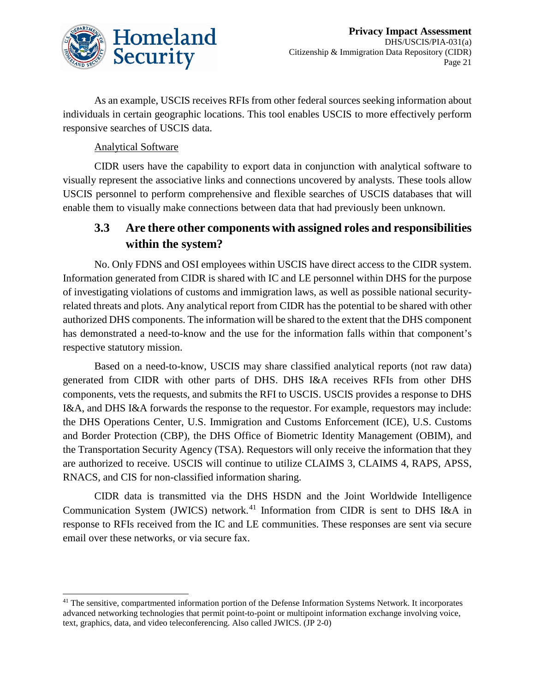

As an example, USCIS receives RFIs from other federal sources seeking information about individuals in certain geographic locations. This tool enables USCIS to more effectively perform responsive searches of USCIS data.

#### Analytical Software

CIDR users have the capability to export data in conjunction with analytical software to visually represent the associative links and connections uncovered by analysts. These tools allow USCIS personnel to perform comprehensive and flexible searches of USCIS databases that will enable them to visually make connections between data that had previously been unknown.

### **3.3 Are there other components with assigned roles and responsibilities within the system?**

No. Only FDNS and OSI employees within USCIS have direct access to the CIDR system. Information generated from CIDR is shared with IC and LE personnel within DHS for the purpose of investigating violations of customs and immigration laws, as well as possible national securityrelated threats and plots. Any analytical report from CIDR has the potential to be shared with other authorized DHS components. The information will be shared to the extent that the DHS component has demonstrated a need-to-know and the use for the information falls within that component's respective statutory mission.

Based on a need-to-know, USCIS may share classified analytical reports (not raw data) generated from CIDR with other parts of DHS. DHS I&A receives RFIs from other DHS components, vets the requests, and submits the RFI to USCIS. USCIS provides a response to DHS I&A, and DHS I&A forwards the response to the requestor. For example, requestors may include: the DHS Operations Center, U.S. Immigration and Customs Enforcement (ICE), U.S. Customs and Border Protection (CBP), the DHS Office of Biometric Identity Management (OBIM), and the Transportation Security Agency (TSA). Requestors will only receive the information that they are authorized to receive. USCIS will continue to utilize CLAIMS 3, CLAIMS 4, RAPS, APSS, RNACS, and CIS for non-classified information sharing.

CIDR data is transmitted via the DHS HSDN and the Joint Worldwide Intelligence Communication System (JWICS) network.<sup>[41](#page-21-0)</sup> Information from CIDR is sent to DHS I&A in response to RFIs received from the IC and LE communities. These responses are sent via secure email over these networks, or via secure fax.

<span id="page-21-0"></span><sup>&</sup>lt;sup>41</sup> The sensitive, compartmented information portion of the Defense Information Systems Network. It incorporates advanced networking technologies that permit point-to-point or multipoint information exchange involving voice, text, graphics, data, and video teleconferencing. Also called JWICS. (JP 2-0)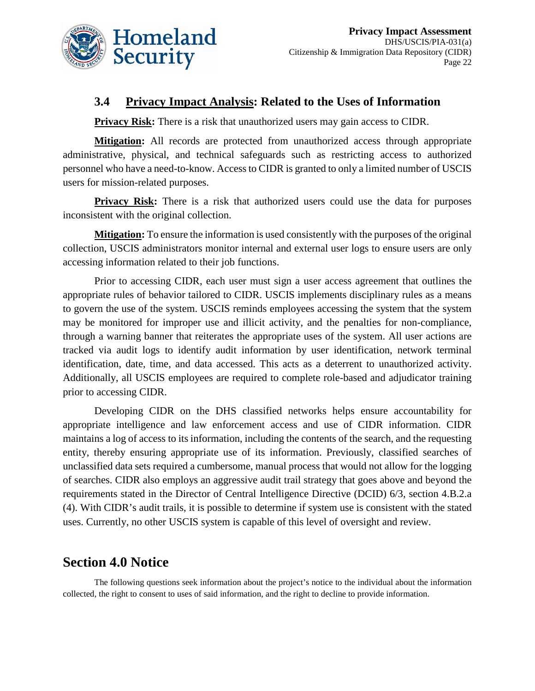

#### **3.4 Privacy Impact Analysis: Related to the Uses of Information**

**Privacy Risk:** There is a risk that unauthorized users may gain access to CIDR.

**Mitigation:** All records are protected from unauthorized access through appropriate administrative, physical, and technical safeguards such as restricting access to authorized personnel who have a need-to-know. Access to CIDR is granted to only a limited number of USCIS users for mission-related purposes.

**Privacy Risk:** There is a risk that authorized users could use the data for purposes inconsistent with the original collection.

**Mitigation:** To ensure the information is used consistently with the purposes of the original collection, USCIS administrators monitor internal and external user logs to ensure users are only accessing information related to their job functions.

Prior to accessing CIDR, each user must sign a user access agreement that outlines the appropriate rules of behavior tailored to CIDR. USCIS implements disciplinary rules as a means to govern the use of the system. USCIS reminds employees accessing the system that the system may be monitored for improper use and illicit activity, and the penalties for non-compliance, through a warning banner that reiterates the appropriate uses of the system. All user actions are tracked via audit logs to identify audit information by user identification, network terminal identification, date, time, and data accessed. This acts as a deterrent to unauthorized activity. Additionally, all USCIS employees are required to complete role-based and adjudicator training prior to accessing CIDR.

Developing CIDR on the DHS classified networks helps ensure accountability for appropriate intelligence and law enforcement access and use of CIDR information. CIDR maintains a log of access to its information, including the contents of the search, and the requesting entity, thereby ensuring appropriate use of its information. Previously, classified searches of unclassified data sets required a cumbersome, manual process that would not allow for the logging of searches. CIDR also employs an aggressive audit trail strategy that goes above and beyond the requirements stated in the Director of Central Intelligence Directive (DCID) 6/3, section 4.B.2.a (4). With CIDR's audit trails, it is possible to determine if system use is consistent with the stated uses. Currently, no other USCIS system is capable of this level of oversight and review.

# **Section 4.0 Notice**

The following questions seek information about the project's notice to the individual about the information collected, the right to consent to uses of said information, and the right to decline to provide information.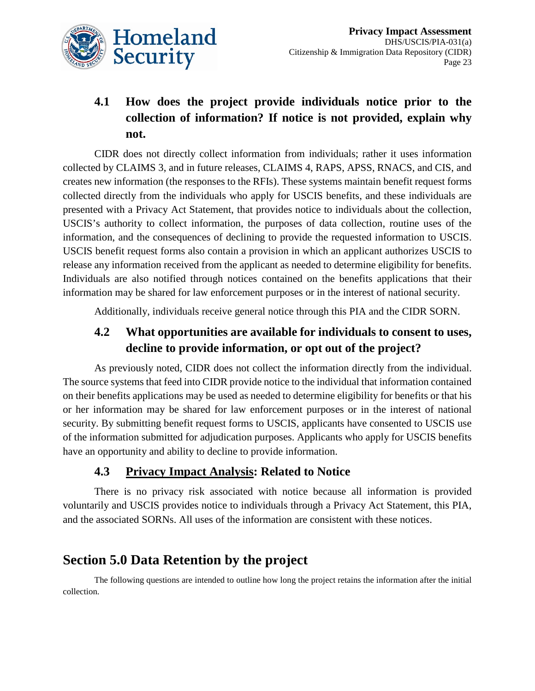

# **4.1 How does the project provide individuals notice prior to the collection of information? If notice is not provided, explain why not.**

CIDR does not directly collect information from individuals; rather it uses information collected by CLAIMS 3, and in future releases, CLAIMS 4, RAPS, APSS, RNACS, and CIS, and creates new information (the responses to the RFIs). These systems maintain benefit request forms collected directly from the individuals who apply for USCIS benefits, and these individuals are presented with a Privacy Act Statement, that provides notice to individuals about the collection, USCIS's authority to collect information, the purposes of data collection, routine uses of the information, and the consequences of declining to provide the requested information to USCIS. USCIS benefit request forms also contain a provision in which an applicant authorizes USCIS to release any information received from the applicant as needed to determine eligibility for benefits. Individuals are also notified through notices contained on the benefits applications that their information may be shared for law enforcement purposes or in the interest of national security.

Additionally, individuals receive general notice through this PIA and the CIDR SORN.

### **4.2 What opportunities are available for individuals to consent to uses, decline to provide information, or opt out of the project?**

As previously noted, CIDR does not collect the information directly from the individual. The source systems that feed into CIDR provide notice to the individual that information contained on their benefits applications may be used as needed to determine eligibility for benefits or that his or her information may be shared for law enforcement purposes or in the interest of national security. By submitting benefit request forms to USCIS, applicants have consented to USCIS use of the information submitted for adjudication purposes. Applicants who apply for USCIS benefits have an opportunity and ability to decline to provide information.

### **4.3 Privacy Impact Analysis: Related to Notice**

There is no privacy risk associated with notice because all information is provided voluntarily and USCIS provides notice to individuals through a Privacy Act Statement, this PIA, and the associated SORNs. All uses of the information are consistent with these notices.

# **Section 5.0 Data Retention by the project**

The following questions are intended to outline how long the project retains the information after the initial collection.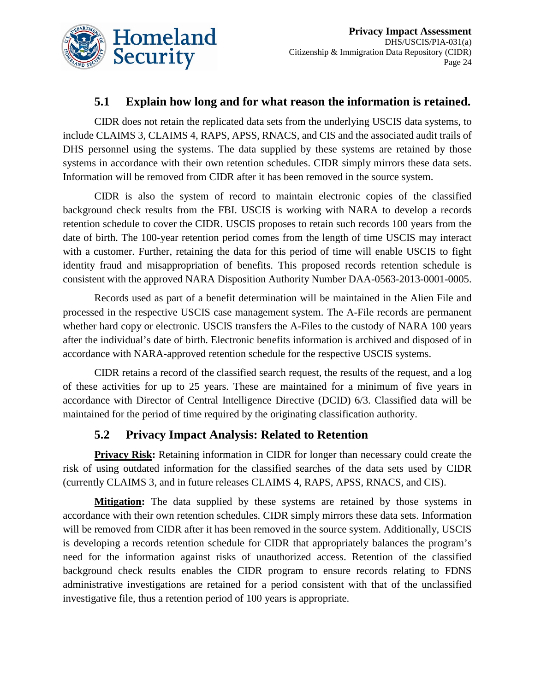

#### **5.1 Explain how long and for what reason the information is retained.**

CIDR does not retain the replicated data sets from the underlying USCIS data systems, to include CLAIMS 3, CLAIMS 4, RAPS, APSS, RNACS, and CIS and the associated audit trails of DHS personnel using the systems. The data supplied by these systems are retained by those systems in accordance with their own retention schedules. CIDR simply mirrors these data sets. Information will be removed from CIDR after it has been removed in the source system.

CIDR is also the system of record to maintain electronic copies of the classified background check results from the FBI. USCIS is working with NARA to develop a records retention schedule to cover the CIDR. USCIS proposes to retain such records 100 years from the date of birth. The 100-year retention period comes from the length of time USCIS may interact with a customer. Further, retaining the data for this period of time will enable USCIS to fight identity fraud and misappropriation of benefits. This proposed records retention schedule is consistent with the approved NARA Disposition Authority Number DAA-0563-2013-0001-0005.

Records used as part of a benefit determination will be maintained in the Alien File and processed in the respective USCIS case management system. The A-File records are permanent whether hard copy or electronic. USCIS transfers the A-Files to the custody of NARA 100 years after the individual's date of birth. Electronic benefits information is archived and disposed of in accordance with NARA-approved retention schedule for the respective USCIS systems.

CIDR retains a record of the classified search request, the results of the request, and a log of these activities for up to 25 years. These are maintained for a minimum of five years in accordance with Director of Central Intelligence Directive (DCID) 6/3. Classified data will be maintained for the period of time required by the originating classification authority.

#### **5.2 Privacy Impact Analysis: Related to Retention**

**Privacy Risk:** Retaining information in CIDR for longer than necessary could create the risk of using outdated information for the classified searches of the data sets used by CIDR (currently CLAIMS 3, and in future releases CLAIMS 4, RAPS, APSS, RNACS, and CIS).

**Mitigation:** The data supplied by these systems are retained by those systems in accordance with their own retention schedules. CIDR simply mirrors these data sets. Information will be removed from CIDR after it has been removed in the source system. Additionally, USCIS is developing a records retention schedule for CIDR that appropriately balances the program's need for the information against risks of unauthorized access. Retention of the classified background check results enables the CIDR program to ensure records relating to FDNS administrative investigations are retained for a period consistent with that of the unclassified investigative file, thus a retention period of 100 years is appropriate.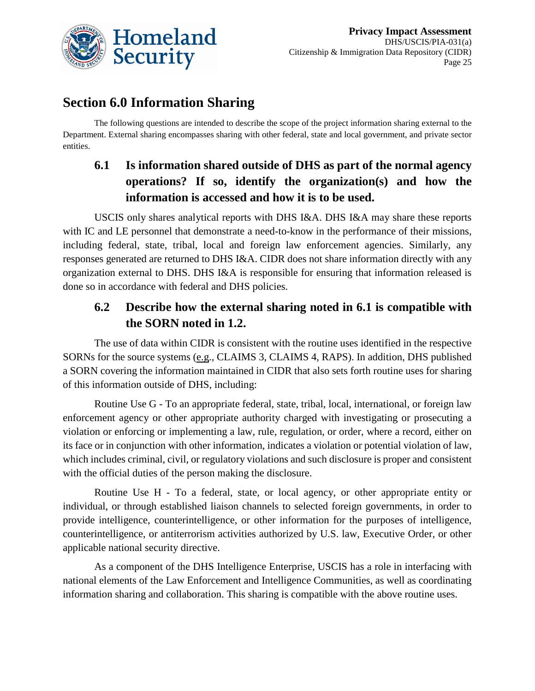

# **Section 6.0 Information Sharing**

The following questions are intended to describe the scope of the project information sharing external to the Department. External sharing encompasses sharing with other federal, state and local government, and private sector entities.

# **6.1 Is information shared outside of DHS as part of the normal agency operations? If so, identify the organization(s) and how the information is accessed and how it is to be used.**

USCIS only shares analytical reports with DHS I&A. DHS I&A may share these reports with IC and LE personnel that demonstrate a need-to-know in the performance of their missions, including federal, state, tribal, local and foreign law enforcement agencies. Similarly, any responses generated are returned to DHS I&A. CIDR does not share information directly with any organization external to DHS. DHS I&A is responsible for ensuring that information released is done so in accordance with federal and DHS policies.

# **6.2 Describe how the external sharing noted in 6.1 is compatible with the SORN noted in 1.2.**

The use of data within CIDR is consistent with the routine uses identified in the respective SORNs for the source systems (e.g., CLAIMS 3, CLAIMS 4, RAPS). In addition, DHS published a SORN covering the information maintained in CIDR that also sets forth routine uses for sharing of this information outside of DHS, including:

Routine Use G - To an appropriate federal, state, tribal, local, international, or foreign law enforcement agency or other appropriate authority charged with investigating or prosecuting a violation or enforcing or implementing a law, rule, regulation, or order, where a record, either on its face or in conjunction with other information, indicates a violation or potential violation of law, which includes criminal, civil, or regulatory violations and such disclosure is proper and consistent with the official duties of the person making the disclosure.

Routine Use H - To a federal, state, or local agency, or other appropriate entity or individual, or through established liaison channels to selected foreign governments, in order to provide intelligence, counterintelligence, or other information for the purposes of intelligence, counterintelligence, or antiterrorism activities authorized by U.S. law, Executive Order, or other applicable national security directive.

As a component of the DHS Intelligence Enterprise, USCIS has a role in interfacing with national elements of the Law Enforcement and Intelligence Communities, as well as coordinating information sharing and collaboration. This sharing is compatible with the above routine uses.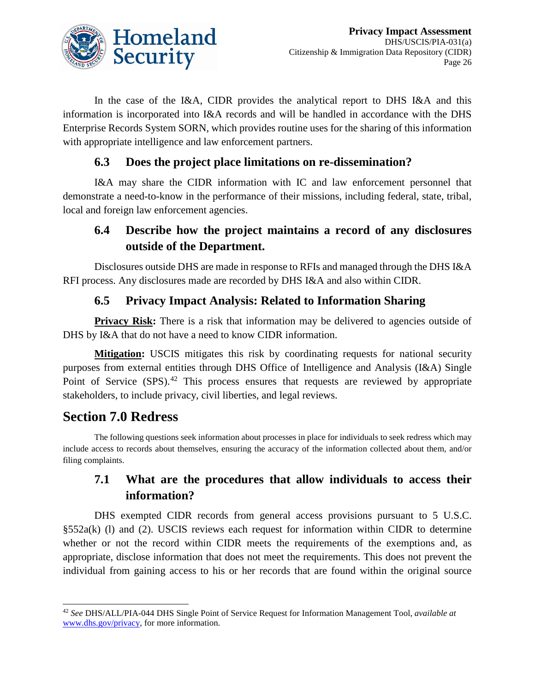

In the case of the I&A, CIDR provides the analytical report to DHS I&A and this information is incorporated into I&A records and will be handled in accordance with the DHS Enterprise Records System SORN, which provides routine uses for the sharing of this information with appropriate intelligence and law enforcement partners.

### **6.3 Does the project place limitations on re-dissemination?**

I&A may share the CIDR information with IC and law enforcement personnel that demonstrate a need-to-know in the performance of their missions, including federal, state, tribal, local and foreign law enforcement agencies.

# **6.4 Describe how the project maintains a record of any disclosures outside of the Department.**

Disclosures outside DHS are made in response to RFIs and managed through the DHS I&A RFI process. Any disclosures made are recorded by DHS I&A and also within CIDR.

# **6.5 Privacy Impact Analysis: Related to Information Sharing**

**Privacy Risk:** There is a risk that information may be delivered to agencies outside of DHS by I&A that do not have a need to know CIDR information.

**Mitigation:** USCIS mitigates this risk by coordinating requests for national security purposes from external entities through DHS Office of Intelligence and Analysis (I&A) Single Point of Service (SPS).<sup>[42](#page-26-0)</sup> This process ensures that requests are reviewed by appropriate stakeholders, to include privacy, civil liberties, and legal reviews.

# **Section 7.0 Redress**

The following questions seek information about processes in place for individuals to seek redress which may include access to records about themselves, ensuring the accuracy of the information collected about them, and/or filing complaints.

### **7.1 What are the procedures that allow individuals to access their information?**

DHS exempted CIDR records from general access provisions pursuant to 5 U.S.C. §552a(k) (l) and (2). USCIS reviews each request for information within CIDR to determine whether or not the record within CIDR meets the requirements of the exemptions and, as appropriate, disclose information that does not meet the requirements. This does not prevent the individual from gaining access to his or her records that are found within the original source

<span id="page-26-0"></span> <sup>42</sup> *See* DHS/ALL/PIA-044 DHS Single Point of Service Request for Information Management Tool, *available at* [www.dhs.gov/privacy,](http://www.dhs.gov/privacy) for more information.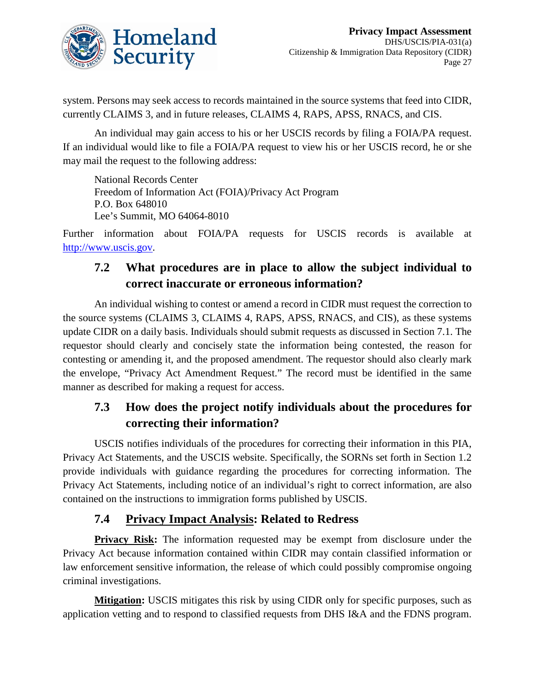

system. Persons may seek access to records maintained in the source systems that feed into CIDR, currently CLAIMS 3, and in future releases, CLAIMS 4, RAPS, APSS, RNACS, and CIS.

An individual may gain access to his or her USCIS records by filing a FOIA/PA request. If an individual would like to file a FOIA/PA request to view his or her USCIS record, he or she may mail the request to the following address:

National Records Center Freedom of Information Act (FOIA)/Privacy Act Program P.O. Box 648010 Lee's Summit, MO 64064-8010

Further information about FOIA/PA requests for USCIS records is available at [http://www.uscis.gov.](http://www.uscis.gov/)

# **7.2 What procedures are in place to allow the subject individual to correct inaccurate or erroneous information?**

An individual wishing to contest or amend a record in CIDR must request the correction to the source systems (CLAIMS 3, CLAIMS 4, RAPS, APSS, RNACS, and CIS), as these systems update CIDR on a daily basis. Individuals should submit requests as discussed in Section 7.1. The requestor should clearly and concisely state the information being contested, the reason for contesting or amending it, and the proposed amendment. The requestor should also clearly mark the envelope, "Privacy Act Amendment Request." The record must be identified in the same manner as described for making a request for access.

# **7.3 How does the project notify individuals about the procedures for correcting their information?**

USCIS notifies individuals of the procedures for correcting their information in this PIA, Privacy Act Statements, and the USCIS website. Specifically, the SORNs set forth in Section 1.2 provide individuals with guidance regarding the procedures for correcting information. The Privacy Act Statements, including notice of an individual's right to correct information, are also contained on the instructions to immigration forms published by USCIS.

### **7.4 Privacy Impact Analysis: Related to Redress**

**Privacy Risk:** The information requested may be exempt from disclosure under the Privacy Act because information contained within CIDR may contain classified information or law enforcement sensitive information, the release of which could possibly compromise ongoing criminal investigations.

**Mitigation:** USCIS mitigates this risk by using CIDR only for specific purposes, such as application vetting and to respond to classified requests from DHS I&A and the FDNS program.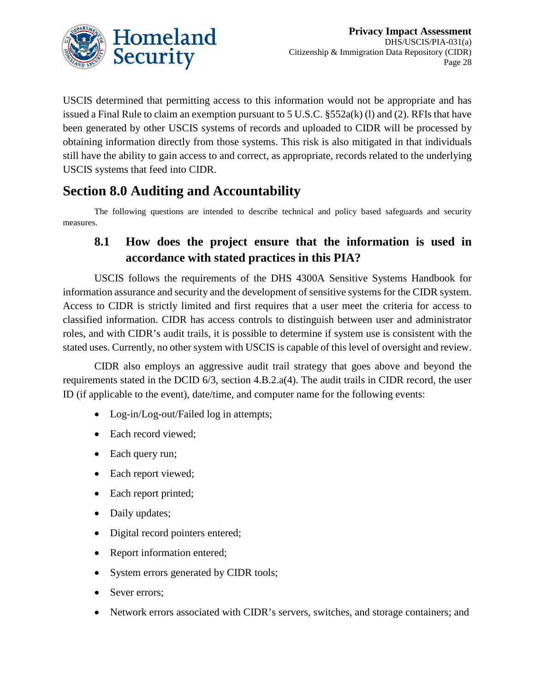

USCIS determined that permitting access to this information would not be appropriate and has issued a Final Rule to claim an exemption pursuant to 5 U.S.C.  $\S 552a(k)$  (1) and (2). RFIs that have been generated by other USCIS systems of records and uploaded to CIDR will be processed by obtaining information directly from those systems. This risk is also mitigated in that individuals still have the ability to gain access to and correct, as appropriate, records related to the underlying USCIS systems that feed into CIDR.

# **Section 8.0 Auditing and Accountability**

The following questions are intended to describe technical and policy based safeguards and security measures.

### **8.1 How does the project ensure that the information is used in accordance with stated practices in this PIA?**

USCIS follows the requirements of the DHS 4300A Sensitive Systems Handbook for information assurance and security and the development of sensitive systems for the CIDR system. Access to CIDR is strictly limited and first requires that a user meet the criteria for access to classified information. CIDR has access controls to distinguish between user and administrator roles, and with CIDR's audit trails, it is possible to determine if system use is consistent with the stated uses. Currently, no other system with USCIS is capable of this level of oversight and review.

CIDR also employs an aggressive audit trail strategy that goes above and beyond the requirements stated in the DCID 6/3, section 4.B.2.a(4). The audit trails in CIDR record, the user ID (if applicable to the event), date/time, and computer name for the following events:

- Log-in/Log-out/Failed log in attempts;
- Each record viewed;
- Each query run;
- Each report viewed;
- Each report printed;
- Daily updates;
- Digital record pointers entered;
- Report information entered;
- System errors generated by CIDR tools;
- Sever errors;
- Network errors associated with CIDR's servers, switches, and storage containers; and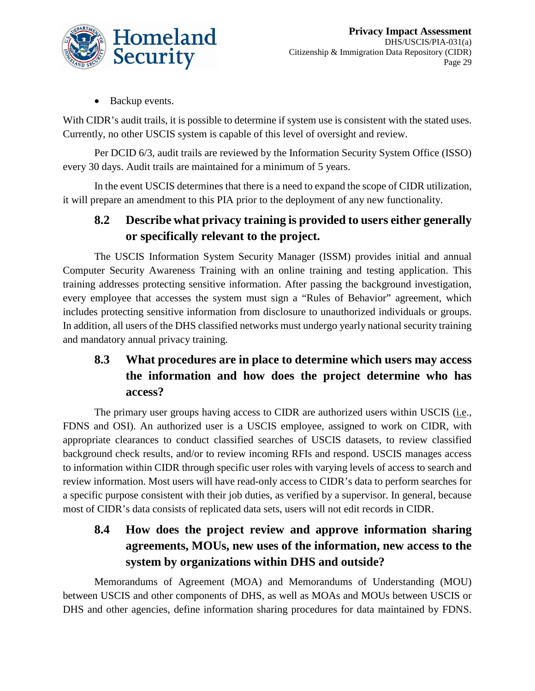

• Backup events.

With CIDR's audit trails, it is possible to determine if system use is consistent with the stated uses. Currently, no other USCIS system is capable of this level of oversight and review.

Per DCID 6/3, audit trails are reviewed by the Information Security System Office (ISSO) every 30 days. Audit trails are maintained for a minimum of 5 years.

In the event USCIS determines that there is a need to expand the scope of CIDR utilization, it will prepare an amendment to this PIA prior to the deployment of any new functionality.

### **8.2 Describe what privacy training is provided to users either generally or specifically relevant to the project.**

The USCIS Information System Security Manager (ISSM) provides initial and annual Computer Security Awareness Training with an online training and testing application. This training addresses protecting sensitive information. After passing the background investigation, every employee that accesses the system must sign a "Rules of Behavior" agreement, which includes protecting sensitive information from disclosure to unauthorized individuals or groups. In addition, all users of the DHS classified networks must undergo yearly national security training and mandatory annual privacy training.

# **8.3 What procedures are in place to determine which users may access the information and how does the project determine who has access?**

The primary user groups having access to CIDR are authorized users within USCIS (i.e., FDNS and OSI). An authorized user is a USCIS employee, assigned to work on CIDR, with appropriate clearances to conduct classified searches of USCIS datasets, to review classified background check results, and/or to review incoming RFIs and respond. USCIS manages access to information within CIDR through specific user roles with varying levels of access to search and review information. Most users will have read-only access to CIDR's data to perform searches for a specific purpose consistent with their job duties, as verified by a supervisor. In general, because most of CIDR's data consists of replicated data sets, users will not edit records in CIDR.

# **8.4 How does the project review and approve information sharing agreements, MOUs, new uses of the information, new access to the system by organizations within DHS and outside?**

Memorandums of Agreement (MOA) and Memorandums of Understanding (MOU) between USCIS and other components of DHS, as well as MOAs and MOUs between USCIS or DHS and other agencies, define information sharing procedures for data maintained by FDNS.